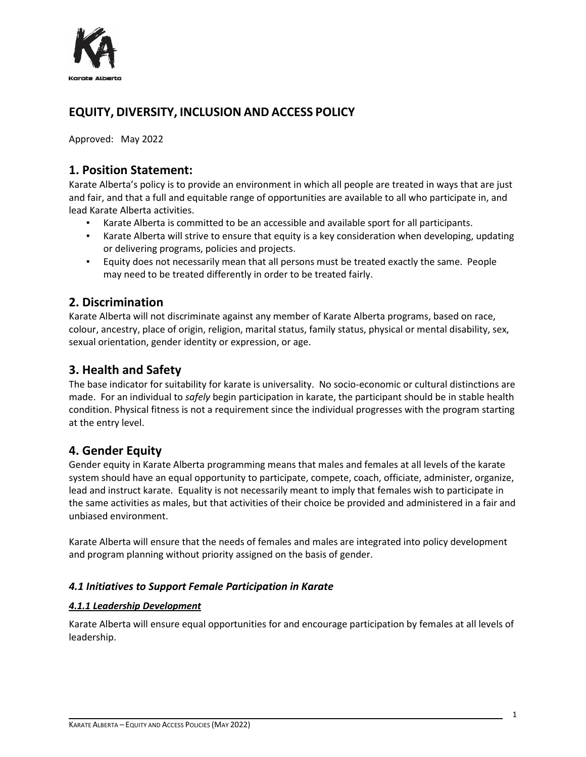

# **EQUITY, DIVERSITY, INCLUSION AND ACCESS POLICY**

Approved: May 2022

### **1. Position Statement:**

Karate Alberta's policy is to provide an environment in which all people are treated in ways that are just and fair, and that a full and equitable range of opportunities are available to all who participate in, and lead Karate Alberta activities.

- Karate Alberta is committed to be an accessible and available sport for all participants.
- Karate Alberta will strive to ensure that equity is a key consideration when developing, updating or delivering programs, policies and projects.
- Equity does not necessarily mean that all persons must be treated exactly the same. People may need to be treated differently in order to be treated fairly.

### **2. Discrimination**

Karate Alberta will not discriminate against any member of Karate Alberta programs, based on race, colour, ancestry, place of origin, religion, marital status, family status, physical or mental disability, sex, sexual orientation, gender identity or expression, or age.

# **3. Health and Safety**

The base indicator for suitability for karate is universality. No socio-economic or cultural distinctions are made. For an individual to *safely* begin participation in karate, the participant should be in stable health condition. Physical fitness is not a requirement since the individual progresses with the program starting at the entry level.

# **4. Gender Equity**

Gender equity in Karate Alberta programming means that males and females at all levels of the karate system should have an equal opportunity to participate, compete, coach, officiate, administer, organize, lead and instruct karate. Equality is not necessarily meant to imply that females wish to participate in the same activities as males, but that activities of their choice be provided and administered in a fair and unbiased environment.

Karate Alberta will ensure that the needs of females and males are integrated into policy development and program planning without priority assigned on the basis of gender.

### *4.1 Initiatives to Support Female Participation in Karate*

### *4.1.1 Leadership Development*

Karate Alberta will ensure equal opportunities for and encourage participation by females at all levels of leadership.